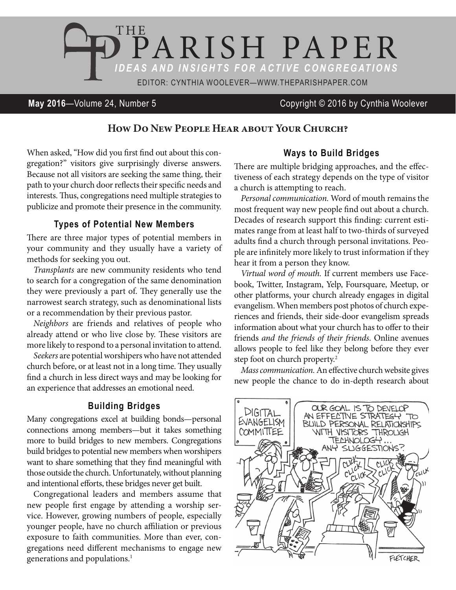

### **May 2016**—Volume 24, Number 5 Copyright © 2016 by Cynthia Woolever

# **How Do New People Hear about Your Church?**

When asked, "How did you first find out about this congregation?" visitors give surprisingly diverse answers. Because not all visitors are seeking the same thing, their path to your church door reflects their specific needs and interests. Thus, congregations need multiple strategies to publicize and promote their presence in the community.

### **Types of Potential New Members**

There are three major types of potential members in your community and they usually have a variety of methods for seeking you out.

*Transplants* are new community residents who tend to search for a congregation of the same denomination they were previously a part of. They generally use the narrowest search strategy, such as denominational lists or a recommendation by their previous pastor.

*Neighbors* are friends and relatives of people who already attend or who live close by. These visitors are more likely to respond to a personal invitation to attend.

*Seekers* are potential worshipers who have not attended church before, or at least not in a long time. They usually find a church in less direct ways and may be looking for an experience that addresses an emotional need.

#### **Building Bridges**

Many congregations excel at building bonds—personal connections among members—but it takes something more to build bridges to new members. Congregations build bridges to potential new members when worshipers want to share something that they find meaningful with those outside the church. Unfortunately, without planning and intentional efforts, these bridges never get built.

Congregational leaders and members assume that new people first engage by attending a worship service. However, growing numbers of people, especially younger people, have no church affiliation or previous exposure to faith communities. More than ever, congregations need different mechanisms to engage new generations and populations.<sup>1</sup>

### **Ways to Build Bridges**

There are multiple bridging approaches, and the effectiveness of each strategy depends on the type of visitor a church is attempting to reach.

*Personal communication.* Word of mouth remains the most frequent way new people find out about a church. Decades of research support this finding: current estimates range from at least half to two-thirds of surveyed adults find a church through personal invitations. People are infinitely more likely to trust information if they hear it from a person they know.

*Virtual word of mouth.* If current members use Facebook, Twitter, Instagram, Yelp, Foursquare, Meetup, or other platforms, your church already engages in digital evangelism. When members post photos of church experiences and friends, their side-door evangelism spreads information about what your church has to offer to their friends *and the friends of their friends*. Online avenues allows people to feel like they belong before they ever step foot on church property.2

*Mass communication.* An effective church website gives new people the chance to do in-depth research about